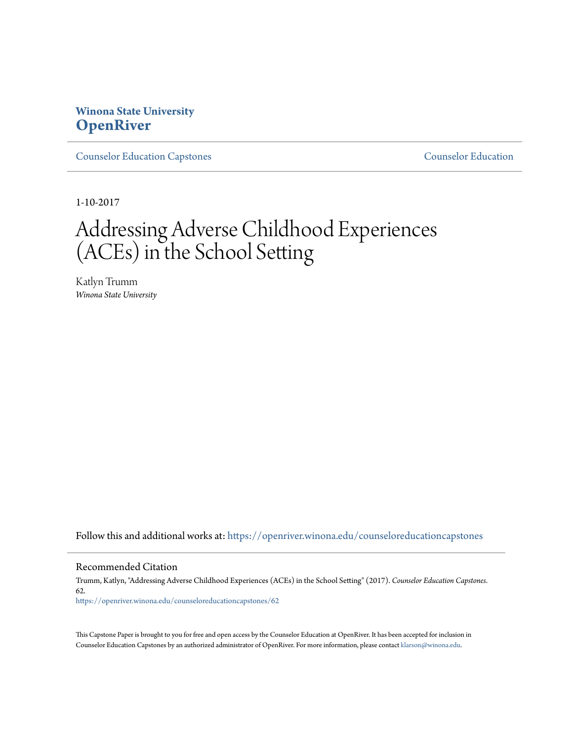# **Winona State University [OpenRiver](https://openriver.winona.edu?utm_source=openriver.winona.edu%2Fcounseloreducationcapstones%2F62&utm_medium=PDF&utm_campaign=PDFCoverPages)**

[Counselor Education Capstones](https://openriver.winona.edu/counseloreducationcapstones?utm_source=openriver.winona.edu%2Fcounseloreducationcapstones%2F62&utm_medium=PDF&utm_campaign=PDFCoverPages) [Counselor Education](https://openriver.winona.edu/counseloreducation?utm_source=openriver.winona.edu%2Fcounseloreducationcapstones%2F62&utm_medium=PDF&utm_campaign=PDFCoverPages)

1-10-2017

# Addressing Adverse Childhood Experiences (ACEs) in the School Setting

Katlyn Trumm *Winona State University*

Follow this and additional works at: [https://openriver.winona.edu/counseloreducationcapstones](https://openriver.winona.edu/counseloreducationcapstones?utm_source=openriver.winona.edu%2Fcounseloreducationcapstones%2F62&utm_medium=PDF&utm_campaign=PDFCoverPages)

#### Recommended Citation

Trumm, Katlyn, "Addressing Adverse Childhood Experiences (ACEs) in the School Setting" (2017). *Counselor Education Capstones*. 62. [https://openriver.winona.edu/counseloreducationcapstones/62](https://openriver.winona.edu/counseloreducationcapstones/62?utm_source=openriver.winona.edu%2Fcounseloreducationcapstones%2F62&utm_medium=PDF&utm_campaign=PDFCoverPages)

This Capstone Paper is brought to you for free and open access by the Counselor Education at OpenRiver. It has been accepted for inclusion in Counselor Education Capstones by an authorized administrator of OpenRiver. For more information, please contact [klarson@winona.edu](mailto:klarson@winona.edu).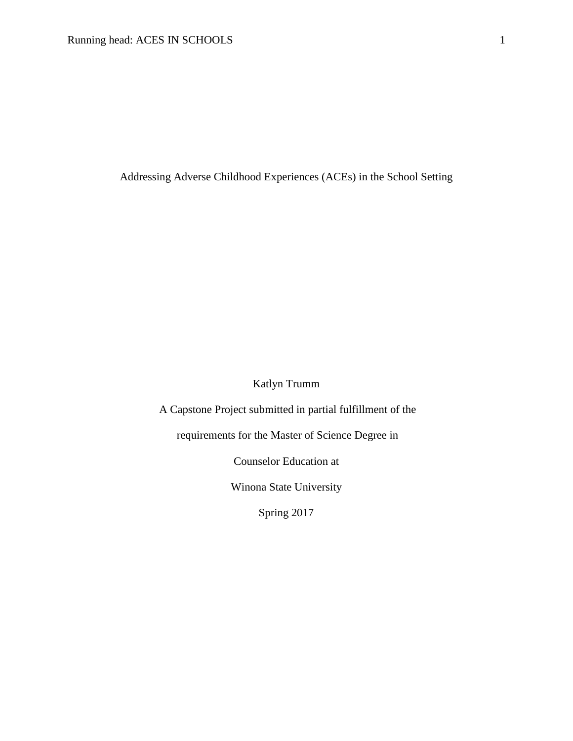Addressing Adverse Childhood Experiences (ACEs) in the School Setting

Katlyn Trumm

A Capstone Project submitted in partial fulfillment of the

requirements for the Master of Science Degree in

Counselor Education at

Winona State University

Spring 2017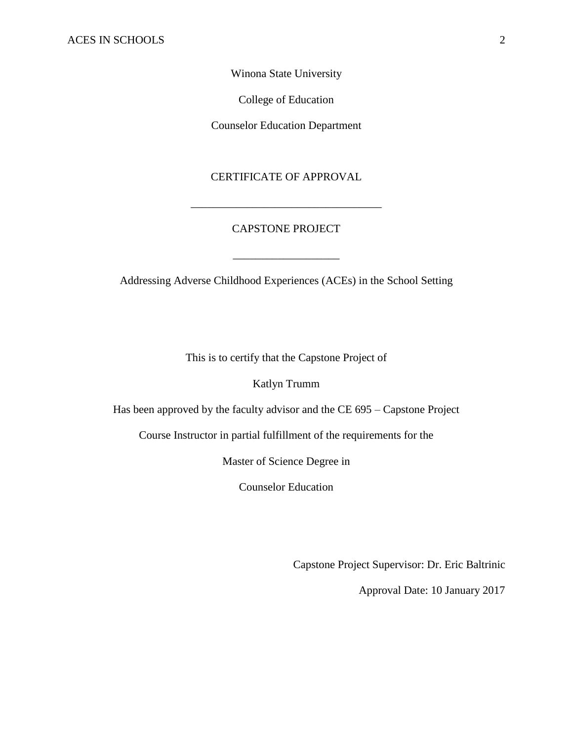## Winona State University

College of Education

Counselor Education Department

## CERTIFICATE OF APPROVAL

## CAPSTONE PROJECT

\_\_\_\_\_\_\_\_\_\_\_\_\_\_\_\_\_\_\_

\_\_\_\_\_\_\_\_\_\_\_\_\_\_\_\_\_\_\_\_\_\_\_\_\_\_\_\_\_\_\_\_\_\_

Addressing Adverse Childhood Experiences (ACEs) in the School Setting

This is to certify that the Capstone Project of

Katlyn Trumm

Has been approved by the faculty advisor and the CE 695 – Capstone Project

Course Instructor in partial fulfillment of the requirements for the

Master of Science Degree in

Counselor Education

Capstone Project Supervisor: Dr. Eric Baltrinic

Approval Date: 10 January 2017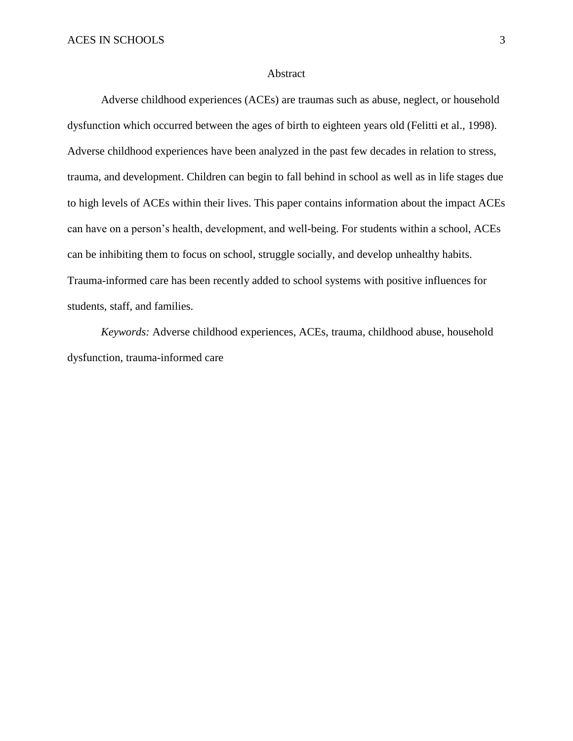#### Abstract

Adverse childhood experiences (ACEs) are traumas such as abuse, neglect, or household dysfunction which occurred between the ages of birth to eighteen years old (Felitti et al., 1998). Adverse childhood experiences have been analyzed in the past few decades in relation to stress, trauma, and development. Children can begin to fall behind in school as well as in life stages due to high levels of ACEs within their lives. This paper contains information about the impact ACEs can have on a person's health, development, and well-being. For students within a school, ACEs can be inhibiting them to focus on school, struggle socially, and develop unhealthy habits. Trauma-informed care has been recently added to school systems with positive influences for students, staff, and families.

*Keywords:* Adverse childhood experiences, ACEs, trauma, childhood abuse, household dysfunction, trauma-informed care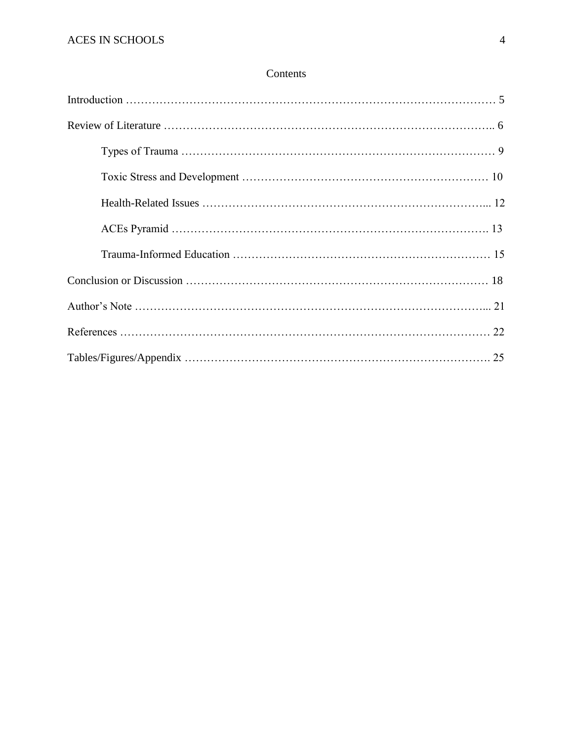## Contents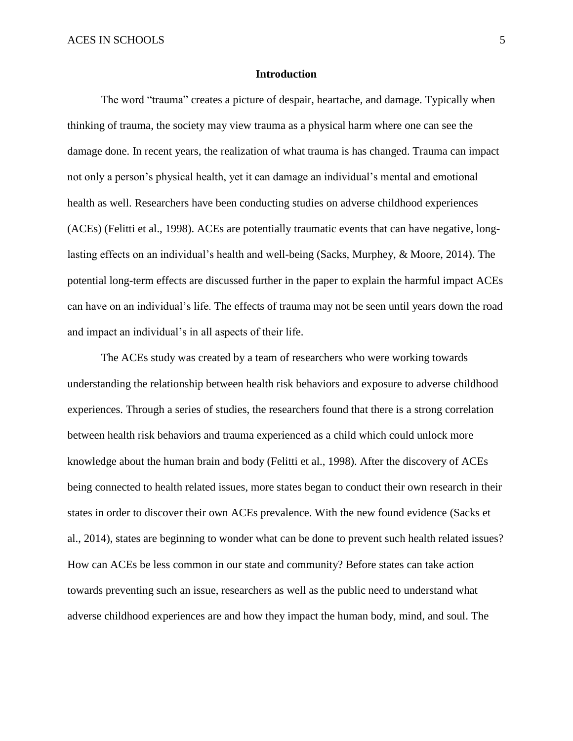#### **Introduction**

The word "trauma" creates a picture of despair, heartache, and damage. Typically when thinking of trauma, the society may view trauma as a physical harm where one can see the damage done. In recent years, the realization of what trauma is has changed. Trauma can impact not only a person's physical health, yet it can damage an individual's mental and emotional health as well. Researchers have been conducting studies on adverse childhood experiences (ACEs) (Felitti et al., 1998). ACEs are potentially traumatic events that can have negative, longlasting effects on an individual's health and well-being (Sacks, Murphey, & Moore, 2014). The potential long-term effects are discussed further in the paper to explain the harmful impact ACEs can have on an individual's life. The effects of trauma may not be seen until years down the road and impact an individual's in all aspects of their life.

The ACEs study was created by a team of researchers who were working towards understanding the relationship between health risk behaviors and exposure to adverse childhood experiences. Through a series of studies, the researchers found that there is a strong correlation between health risk behaviors and trauma experienced as a child which could unlock more knowledge about the human brain and body (Felitti et al., 1998). After the discovery of ACEs being connected to health related issues, more states began to conduct their own research in their states in order to discover their own ACEs prevalence. With the new found evidence (Sacks et al., 2014), states are beginning to wonder what can be done to prevent such health related issues? How can ACEs be less common in our state and community? Before states can take action towards preventing such an issue, researchers as well as the public need to understand what adverse childhood experiences are and how they impact the human body, mind, and soul. The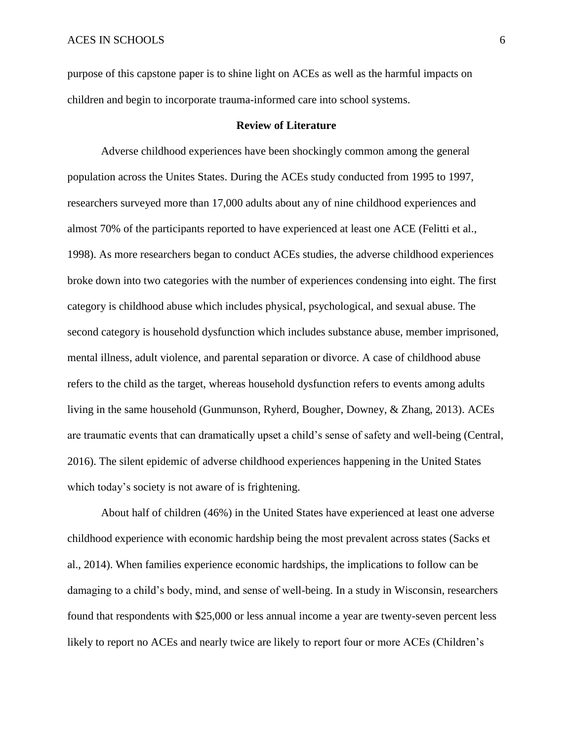purpose of this capstone paper is to shine light on ACEs as well as the harmful impacts on children and begin to incorporate trauma-informed care into school systems.

## **Review of Literature**

Adverse childhood experiences have been shockingly common among the general population across the Unites States. During the ACEs study conducted from 1995 to 1997, researchers surveyed more than 17,000 adults about any of nine childhood experiences and almost 70% of the participants reported to have experienced at least one ACE (Felitti et al., 1998). As more researchers began to conduct ACEs studies, the adverse childhood experiences broke down into two categories with the number of experiences condensing into eight. The first category is childhood abuse which includes physical, psychological, and sexual abuse. The second category is household dysfunction which includes substance abuse, member imprisoned, mental illness, adult violence, and parental separation or divorce. A case of childhood abuse refers to the child as the target, whereas household dysfunction refers to events among adults living in the same household (Gunmunson, Ryherd, Bougher, Downey, & Zhang, 2013). ACEs are traumatic events that can dramatically upset a child's sense of safety and well-being (Central, 2016). The silent epidemic of adverse childhood experiences happening in the United States which today's society is not aware of is frightening.

About half of children (46%) in the United States have experienced at least one adverse childhood experience with economic hardship being the most prevalent across states (Sacks et al., 2014). When families experience economic hardships, the implications to follow can be damaging to a child's body, mind, and sense of well-being. In a study in Wisconsin, researchers found that respondents with \$25,000 or less annual income a year are twenty-seven percent less likely to report no ACEs and nearly twice are likely to report four or more ACEs (Children's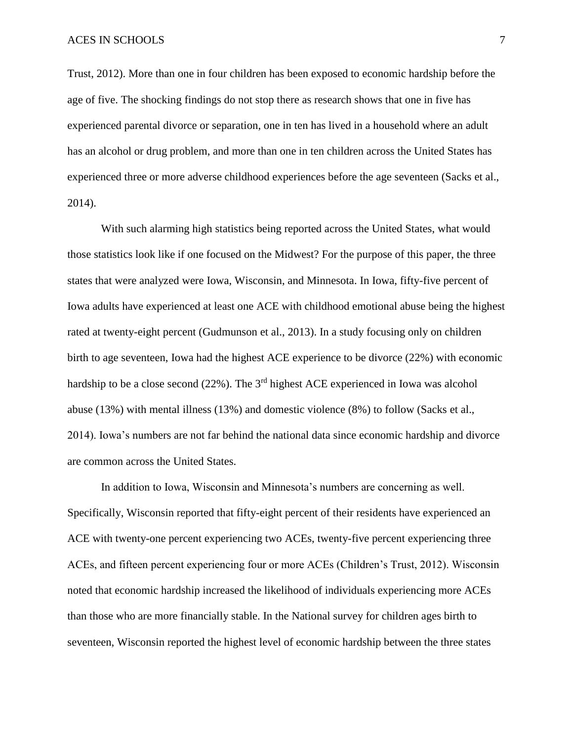Trust, 2012). More than one in four children has been exposed to economic hardship before the age of five. The shocking findings do not stop there as research shows that one in five has experienced parental divorce or separation, one in ten has lived in a household where an adult has an alcohol or drug problem, and more than one in ten children across the United States has experienced three or more adverse childhood experiences before the age seventeen (Sacks et al., 2014).

With such alarming high statistics being reported across the United States, what would those statistics look like if one focused on the Midwest? For the purpose of this paper, the three states that were analyzed were Iowa, Wisconsin, and Minnesota. In Iowa, fifty-five percent of Iowa adults have experienced at least one ACE with childhood emotional abuse being the highest rated at twenty-eight percent (Gudmunson et al., 2013). In a study focusing only on children birth to age seventeen, Iowa had the highest ACE experience to be divorce (22%) with economic hardship to be a close second (22%). The 3<sup>rd</sup> highest ACE experienced in Iowa was alcohol abuse (13%) with mental illness (13%) and domestic violence (8%) to follow (Sacks et al., 2014). Iowa's numbers are not far behind the national data since economic hardship and divorce are common across the United States.

In addition to Iowa, Wisconsin and Minnesota's numbers are concerning as well. Specifically, Wisconsin reported that fifty-eight percent of their residents have experienced an ACE with twenty-one percent experiencing two ACEs, twenty-five percent experiencing three ACEs, and fifteen percent experiencing four or more ACEs (Children's Trust, 2012). Wisconsin noted that economic hardship increased the likelihood of individuals experiencing more ACEs than those who are more financially stable. In the National survey for children ages birth to seventeen, Wisconsin reported the highest level of economic hardship between the three states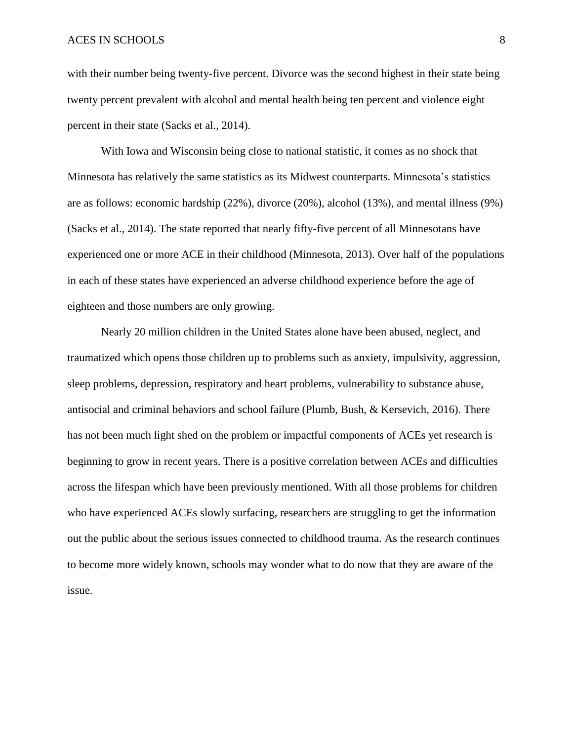#### ACES IN SCHOOLS 8

with their number being twenty-five percent. Divorce was the second highest in their state being twenty percent prevalent with alcohol and mental health being ten percent and violence eight percent in their state (Sacks et al., 2014).

With Iowa and Wisconsin being close to national statistic, it comes as no shock that Minnesota has relatively the same statistics as its Midwest counterparts. Minnesota's statistics are as follows: economic hardship (22%), divorce (20%), alcohol (13%), and mental illness (9%) (Sacks et al., 2014). The state reported that nearly fifty-five percent of all Minnesotans have experienced one or more ACE in their childhood (Minnesota, 2013). Over half of the populations in each of these states have experienced an adverse childhood experience before the age of eighteen and those numbers are only growing.

Nearly 20 million children in the United States alone have been abused, neglect, and traumatized which opens those children up to problems such as anxiety, impulsivity, aggression, sleep problems, depression, respiratory and heart problems, vulnerability to substance abuse, antisocial and criminal behaviors and school failure (Plumb, Bush, & Kersevich, 2016). There has not been much light shed on the problem or impactful components of ACEs yet research is beginning to grow in recent years. There is a positive correlation between ACEs and difficulties across the lifespan which have been previously mentioned. With all those problems for children who have experienced ACEs slowly surfacing, researchers are struggling to get the information out the public about the serious issues connected to childhood trauma. As the research continues to become more widely known, schools may wonder what to do now that they are aware of the issue.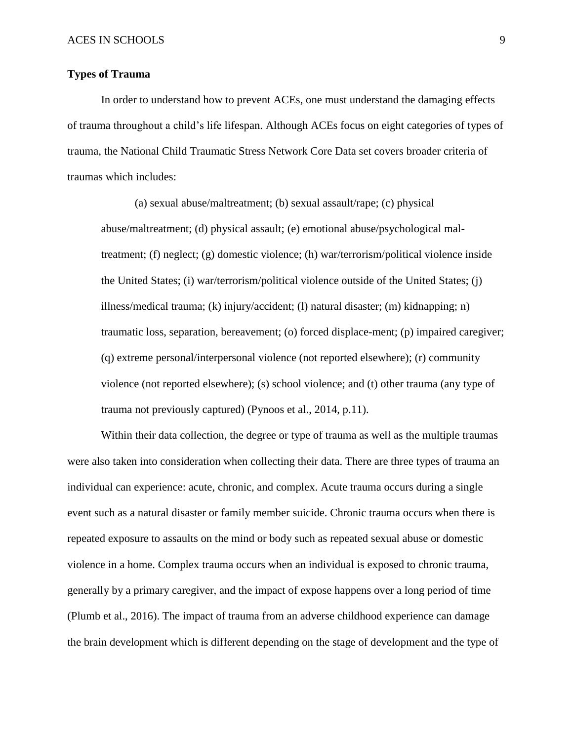### **Types of Trauma**

In order to understand how to prevent ACEs, one must understand the damaging effects of trauma throughout a child's life lifespan. Although ACEs focus on eight categories of types of trauma, the National Child Traumatic Stress Network Core Data set covers broader criteria of traumas which includes:

(a) sexual abuse/maltreatment; (b) sexual assault/rape; (c) physical abuse/maltreatment; (d) physical assault; (e) emotional abuse/psychological maltreatment; (f) neglect; (g) domestic violence; (h) war/terrorism/political violence inside the United States; (i) war/terrorism/political violence outside of the United States; (j) illness/medical trauma; (k) injury/accident; (l) natural disaster; (m) kidnapping; n) traumatic loss, separation, bereavement; (o) forced displace-ment; (p) impaired caregiver; (q) extreme personal/interpersonal violence (not reported elsewhere); (r) community violence (not reported elsewhere); (s) school violence; and (t) other trauma (any type of trauma not previously captured) (Pynoos et al., 2014, p.11).

Within their data collection, the degree or type of trauma as well as the multiple traumas were also taken into consideration when collecting their data. There are three types of trauma an individual can experience: acute, chronic, and complex. Acute trauma occurs during a single event such as a natural disaster or family member suicide. Chronic trauma occurs when there is repeated exposure to assaults on the mind or body such as repeated sexual abuse or domestic violence in a home. Complex trauma occurs when an individual is exposed to chronic trauma, generally by a primary caregiver, and the impact of expose happens over a long period of time (Plumb et al., 2016). The impact of trauma from an adverse childhood experience can damage the brain development which is different depending on the stage of development and the type of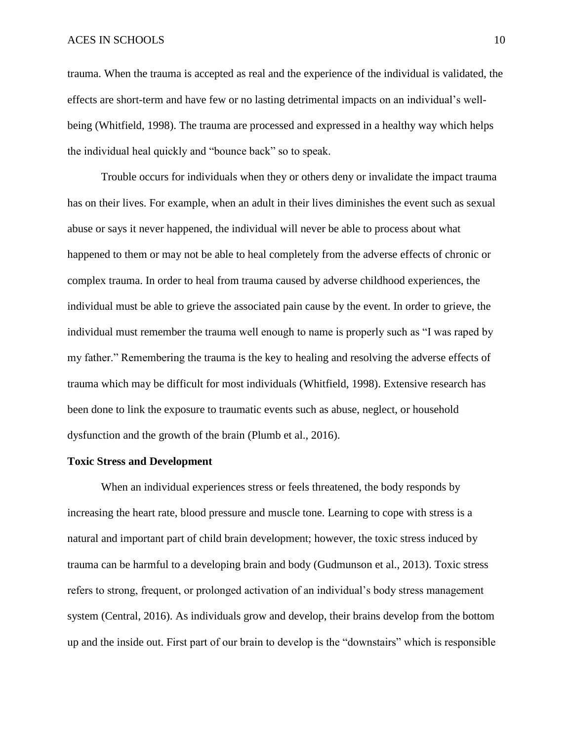#### ACES IN SCHOOLS 10

trauma. When the trauma is accepted as real and the experience of the individual is validated, the effects are short-term and have few or no lasting detrimental impacts on an individual's wellbeing (Whitfield, 1998). The trauma are processed and expressed in a healthy way which helps the individual heal quickly and "bounce back" so to speak.

Trouble occurs for individuals when they or others deny or invalidate the impact trauma has on their lives. For example, when an adult in their lives diminishes the event such as sexual abuse or says it never happened, the individual will never be able to process about what happened to them or may not be able to heal completely from the adverse effects of chronic or complex trauma. In order to heal from trauma caused by adverse childhood experiences, the individual must be able to grieve the associated pain cause by the event. In order to grieve, the individual must remember the trauma well enough to name is properly such as "I was raped by my father." Remembering the trauma is the key to healing and resolving the adverse effects of trauma which may be difficult for most individuals (Whitfield, 1998). Extensive research has been done to link the exposure to traumatic events such as abuse, neglect, or household dysfunction and the growth of the brain (Plumb et al., 2016).

#### **Toxic Stress and Development**

When an individual experiences stress or feels threatened, the body responds by increasing the heart rate, blood pressure and muscle tone. Learning to cope with stress is a natural and important part of child brain development; however, the toxic stress induced by trauma can be harmful to a developing brain and body (Gudmunson et al., 2013). Toxic stress refers to strong, frequent, or prolonged activation of an individual's body stress management system (Central, 2016). As individuals grow and develop, their brains develop from the bottom up and the inside out. First part of our brain to develop is the "downstairs" which is responsible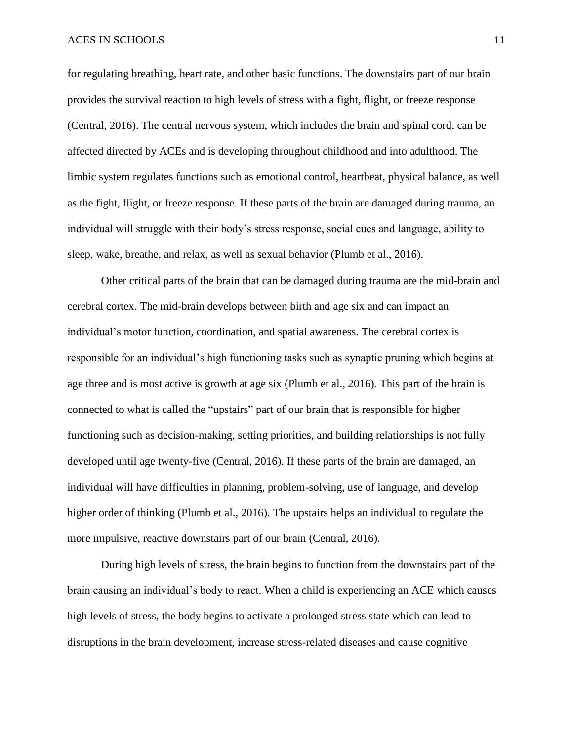for regulating breathing, heart rate, and other basic functions. The downstairs part of our brain provides the survival reaction to high levels of stress with a fight, flight, or freeze response (Central, 2016). The central nervous system, which includes the brain and spinal cord, can be affected directed by ACEs and is developing throughout childhood and into adulthood. The limbic system regulates functions such as emotional control, heartbeat, physical balance, as well as the fight, flight, or freeze response. If these parts of the brain are damaged during trauma, an individual will struggle with their body's stress response, social cues and language, ability to sleep, wake, breathe, and relax, as well as sexual behavior (Plumb et al., 2016).

Other critical parts of the brain that can be damaged during trauma are the mid-brain and cerebral cortex. The mid-brain develops between birth and age six and can impact an individual's motor function, coordination, and spatial awareness. The cerebral cortex is responsible for an individual's high functioning tasks such as synaptic pruning which begins at age three and is most active is growth at age six (Plumb et al., 2016). This part of the brain is connected to what is called the "upstairs" part of our brain that is responsible for higher functioning such as decision-making, setting priorities, and building relationships is not fully developed until age twenty-five (Central, 2016). If these parts of the brain are damaged, an individual will have difficulties in planning, problem-solving, use of language, and develop higher order of thinking (Plumb et al., 2016). The upstairs helps an individual to regulate the more impulsive, reactive downstairs part of our brain (Central, 2016).

During high levels of stress, the brain begins to function from the downstairs part of the brain causing an individual's body to react. When a child is experiencing an ACE which causes high levels of stress, the body begins to activate a prolonged stress state which can lead to disruptions in the brain development, increase stress-related diseases and cause cognitive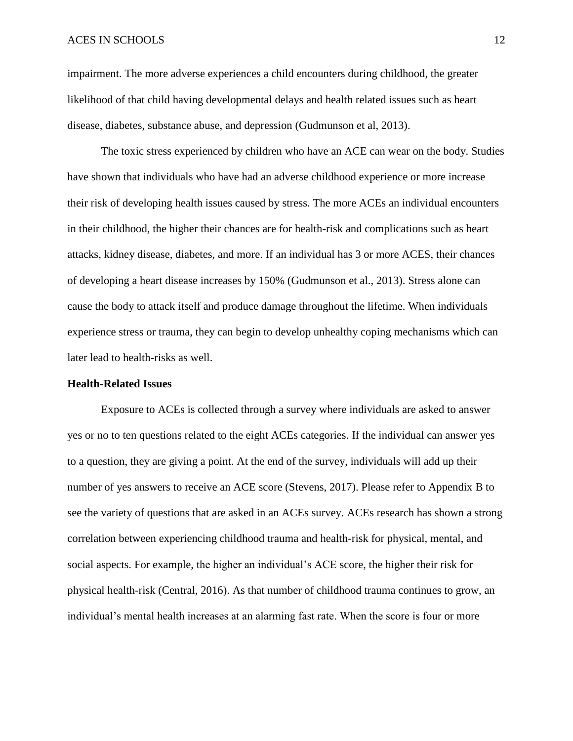#### ACES IN SCHOOLS 12

impairment. The more adverse experiences a child encounters during childhood, the greater likelihood of that child having developmental delays and health related issues such as heart disease, diabetes, substance abuse, and depression (Gudmunson et al, 2013).

The toxic stress experienced by children who have an ACE can wear on the body. Studies have shown that individuals who have had an adverse childhood experience or more increase their risk of developing health issues caused by stress. The more ACEs an individual encounters in their childhood, the higher their chances are for health-risk and complications such as heart attacks, kidney disease, diabetes, and more. If an individual has 3 or more ACES, their chances of developing a heart disease increases by 150% (Gudmunson et al., 2013). Stress alone can cause the body to attack itself and produce damage throughout the lifetime. When individuals experience stress or trauma, they can begin to develop unhealthy coping mechanisms which can later lead to health-risks as well.

#### **Health-Related Issues**

Exposure to ACEs is collected through a survey where individuals are asked to answer yes or no to ten questions related to the eight ACEs categories. If the individual can answer yes to a question, they are giving a point. At the end of the survey, individuals will add up their number of yes answers to receive an ACE score (Stevens, 2017). Please refer to Appendix B to see the variety of questions that are asked in an ACEs survey. ACEs research has shown a strong correlation between experiencing childhood trauma and health-risk for physical, mental, and social aspects. For example, the higher an individual's ACE score, the higher their risk for physical health-risk (Central, 2016). As that number of childhood trauma continues to grow, an individual's mental health increases at an alarming fast rate. When the score is four or more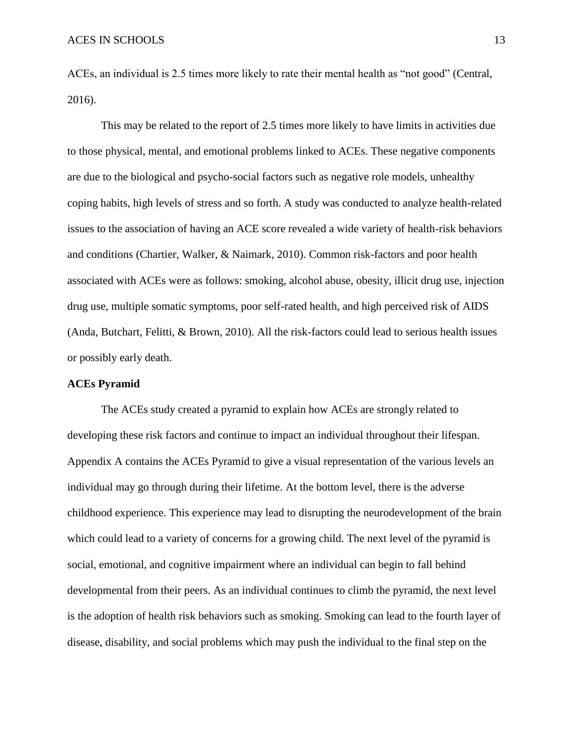ACEs, an individual is 2.5 times more likely to rate their mental health as "not good" (Central, 2016).

This may be related to the report of 2.5 times more likely to have limits in activities due to those physical, mental, and emotional problems linked to ACEs. These negative components are due to the biological and psycho-social factors such as negative role models, unhealthy coping habits, high levels of stress and so forth. A study was conducted to analyze health-related issues to the association of having an ACE score revealed a wide variety of health-risk behaviors and conditions (Chartier, Walker, & Naimark, 2010). Common risk-factors and poor health associated with ACEs were as follows: smoking, alcohol abuse, obesity, illicit drug use, injection drug use, multiple somatic symptoms, poor self-rated health, and high perceived risk of AIDS (Anda, Butchart, Felitti, & Brown, 2010). All the risk-factors could lead to serious health issues or possibly early death.

#### **ACEs Pyramid**

The ACEs study created a pyramid to explain how ACEs are strongly related to developing these risk factors and continue to impact an individual throughout their lifespan. Appendix A contains the ACEs Pyramid to give a visual representation of the various levels an individual may go through during their lifetime. At the bottom level, there is the adverse childhood experience. This experience may lead to disrupting the neurodevelopment of the brain which could lead to a variety of concerns for a growing child. The next level of the pyramid is social, emotional, and cognitive impairment where an individual can begin to fall behind developmental from their peers. As an individual continues to climb the pyramid, the next level is the adoption of health risk behaviors such as smoking. Smoking can lead to the fourth layer of disease, disability, and social problems which may push the individual to the final step on the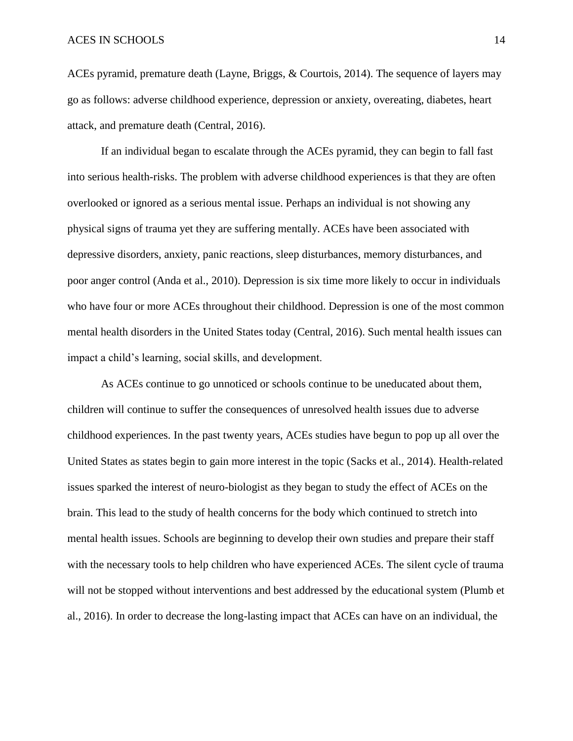ACEs pyramid, premature death (Layne, Briggs, & Courtois, 2014). The sequence of layers may go as follows: adverse childhood experience, depression or anxiety, overeating, diabetes, heart attack, and premature death (Central, 2016).

If an individual began to escalate through the ACEs pyramid, they can begin to fall fast into serious health-risks. The problem with adverse childhood experiences is that they are often overlooked or ignored as a serious mental issue. Perhaps an individual is not showing any physical signs of trauma yet they are suffering mentally. ACEs have been associated with depressive disorders, anxiety, panic reactions, sleep disturbances, memory disturbances, and poor anger control (Anda et al., 2010). Depression is six time more likely to occur in individuals who have four or more ACEs throughout their childhood. Depression is one of the most common mental health disorders in the United States today (Central, 2016). Such mental health issues can impact a child's learning, social skills, and development.

As ACEs continue to go unnoticed or schools continue to be uneducated about them, children will continue to suffer the consequences of unresolved health issues due to adverse childhood experiences. In the past twenty years, ACEs studies have begun to pop up all over the United States as states begin to gain more interest in the topic (Sacks et al., 2014). Health-related issues sparked the interest of neuro-biologist as they began to study the effect of ACEs on the brain. This lead to the study of health concerns for the body which continued to stretch into mental health issues. Schools are beginning to develop their own studies and prepare their staff with the necessary tools to help children who have experienced ACEs. The silent cycle of trauma will not be stopped without interventions and best addressed by the educational system (Plumb et al., 2016). In order to decrease the long-lasting impact that ACEs can have on an individual, the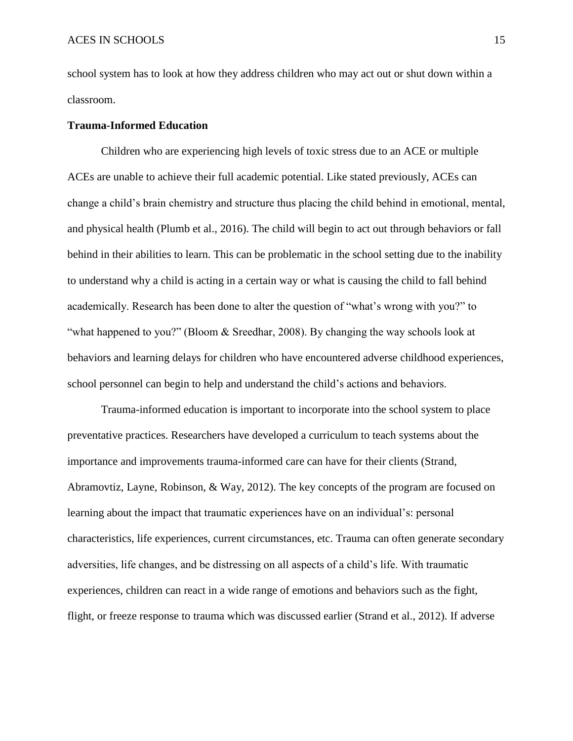school system has to look at how they address children who may act out or shut down within a classroom.

#### **Trauma-Informed Education**

Children who are experiencing high levels of toxic stress due to an ACE or multiple ACEs are unable to achieve their full academic potential. Like stated previously, ACEs can change a child's brain chemistry and structure thus placing the child behind in emotional, mental, and physical health (Plumb et al., 2016). The child will begin to act out through behaviors or fall behind in their abilities to learn. This can be problematic in the school setting due to the inability to understand why a child is acting in a certain way or what is causing the child to fall behind academically. Research has been done to alter the question of "what's wrong with you?" to "what happened to you?" (Bloom & Sreedhar, 2008). By changing the way schools look at behaviors and learning delays for children who have encountered adverse childhood experiences, school personnel can begin to help and understand the child's actions and behaviors.

Trauma-informed education is important to incorporate into the school system to place preventative practices. Researchers have developed a curriculum to teach systems about the importance and improvements trauma-informed care can have for their clients (Strand, Abramovtiz, Layne, Robinson, & Way, 2012). The key concepts of the program are focused on learning about the impact that traumatic experiences have on an individual's: personal characteristics, life experiences, current circumstances, etc. Trauma can often generate secondary adversities, life changes, and be distressing on all aspects of a child's life. With traumatic experiences, children can react in a wide range of emotions and behaviors such as the fight, flight, or freeze response to trauma which was discussed earlier (Strand et al., 2012). If adverse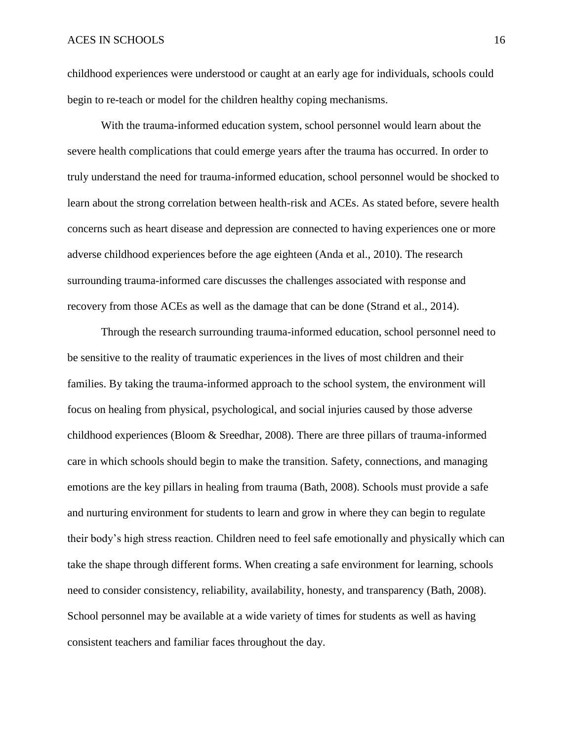childhood experiences were understood or caught at an early age for individuals, schools could begin to re-teach or model for the children healthy coping mechanisms.

With the trauma-informed education system, school personnel would learn about the severe health complications that could emerge years after the trauma has occurred. In order to truly understand the need for trauma-informed education, school personnel would be shocked to learn about the strong correlation between health-risk and ACEs. As stated before, severe health concerns such as heart disease and depression are connected to having experiences one or more adverse childhood experiences before the age eighteen (Anda et al., 2010). The research surrounding trauma-informed care discusses the challenges associated with response and recovery from those ACEs as well as the damage that can be done (Strand et al., 2014).

Through the research surrounding trauma-informed education, school personnel need to be sensitive to the reality of traumatic experiences in the lives of most children and their families. By taking the trauma-informed approach to the school system, the environment will focus on healing from physical, psychological, and social injuries caused by those adverse childhood experiences (Bloom & Sreedhar, 2008). There are three pillars of trauma-informed care in which schools should begin to make the transition. Safety, connections, and managing emotions are the key pillars in healing from trauma (Bath, 2008). Schools must provide a safe and nurturing environment for students to learn and grow in where they can begin to regulate their body's high stress reaction. Children need to feel safe emotionally and physically which can take the shape through different forms. When creating a safe environment for learning, schools need to consider consistency, reliability, availability, honesty, and transparency (Bath, 2008). School personnel may be available at a wide variety of times for students as well as having consistent teachers and familiar faces throughout the day.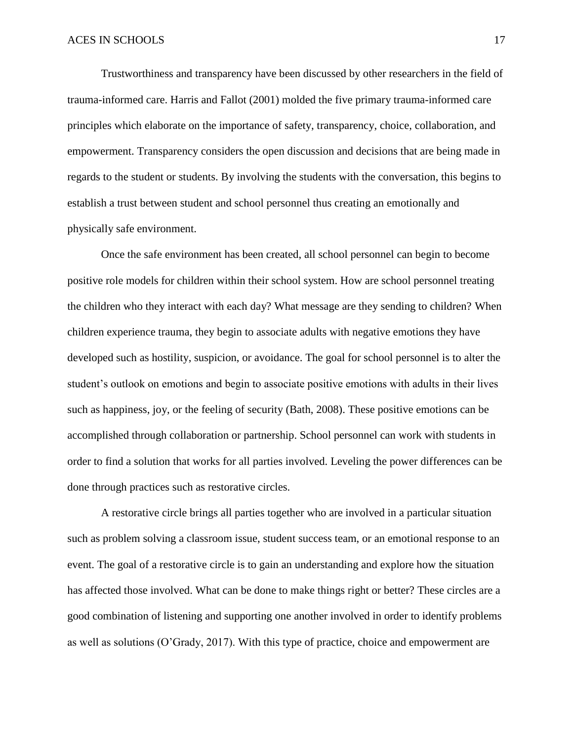Trustworthiness and transparency have been discussed by other researchers in the field of trauma-informed care. Harris and Fallot (2001) molded the five primary trauma-informed care principles which elaborate on the importance of safety, transparency, choice, collaboration, and empowerment. Transparency considers the open discussion and decisions that are being made in regards to the student or students. By involving the students with the conversation, this begins to establish a trust between student and school personnel thus creating an emotionally and physically safe environment.

Once the safe environment has been created, all school personnel can begin to become positive role models for children within their school system. How are school personnel treating the children who they interact with each day? What message are they sending to children? When children experience trauma, they begin to associate adults with negative emotions they have developed such as hostility, suspicion, or avoidance. The goal for school personnel is to alter the student's outlook on emotions and begin to associate positive emotions with adults in their lives such as happiness, joy, or the feeling of security (Bath, 2008). These positive emotions can be accomplished through collaboration or partnership. School personnel can work with students in order to find a solution that works for all parties involved. Leveling the power differences can be done through practices such as restorative circles.

A restorative circle brings all parties together who are involved in a particular situation such as problem solving a classroom issue, student success team, or an emotional response to an event. The goal of a restorative circle is to gain an understanding and explore how the situation has affected those involved. What can be done to make things right or better? These circles are a good combination of listening and supporting one another involved in order to identify problems as well as solutions (O'Grady, 2017). With this type of practice, choice and empowerment are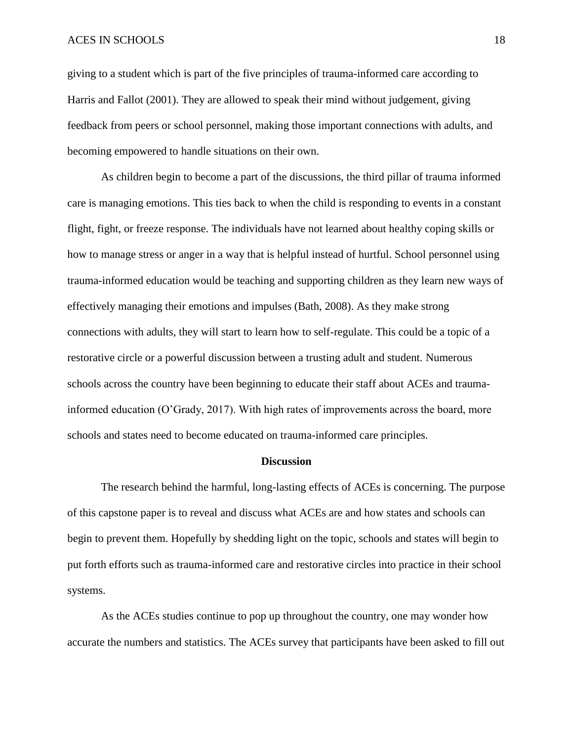#### ACES IN SCHOOLS 18

giving to a student which is part of the five principles of trauma-informed care according to Harris and Fallot (2001). They are allowed to speak their mind without judgement, giving feedback from peers or school personnel, making those important connections with adults, and becoming empowered to handle situations on their own.

As children begin to become a part of the discussions, the third pillar of trauma informed care is managing emotions. This ties back to when the child is responding to events in a constant flight, fight, or freeze response. The individuals have not learned about healthy coping skills or how to manage stress or anger in a way that is helpful instead of hurtful. School personnel using trauma-informed education would be teaching and supporting children as they learn new ways of effectively managing their emotions and impulses (Bath, 2008). As they make strong connections with adults, they will start to learn how to self-regulate. This could be a topic of a restorative circle or a powerful discussion between a trusting adult and student. Numerous schools across the country have been beginning to educate their staff about ACEs and traumainformed education (O'Grady, 2017). With high rates of improvements across the board, more schools and states need to become educated on trauma-informed care principles.

#### **Discussion**

The research behind the harmful, long-lasting effects of ACEs is concerning. The purpose of this capstone paper is to reveal and discuss what ACEs are and how states and schools can begin to prevent them. Hopefully by shedding light on the topic, schools and states will begin to put forth efforts such as trauma-informed care and restorative circles into practice in their school systems.

As the ACEs studies continue to pop up throughout the country, one may wonder how accurate the numbers and statistics. The ACEs survey that participants have been asked to fill out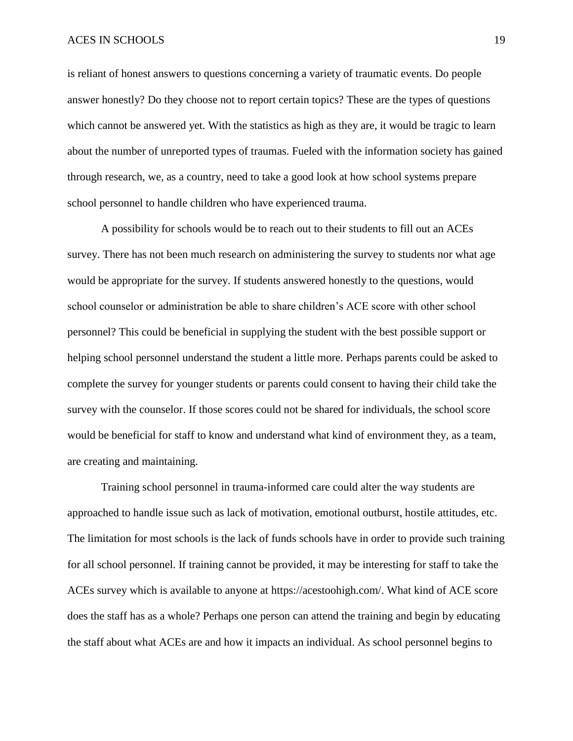#### ACES IN SCHOOLS 19

is reliant of honest answers to questions concerning a variety of traumatic events. Do people answer honestly? Do they choose not to report certain topics? These are the types of questions which cannot be answered yet. With the statistics as high as they are, it would be tragic to learn about the number of unreported types of traumas. Fueled with the information society has gained through research, we, as a country, need to take a good look at how school systems prepare school personnel to handle children who have experienced trauma.

A possibility for schools would be to reach out to their students to fill out an ACEs survey. There has not been much research on administering the survey to students nor what age would be appropriate for the survey. If students answered honestly to the questions, would school counselor or administration be able to share children's ACE score with other school personnel? This could be beneficial in supplying the student with the best possible support or helping school personnel understand the student a little more. Perhaps parents could be asked to complete the survey for younger students or parents could consent to having their child take the survey with the counselor. If those scores could not be shared for individuals, the school score would be beneficial for staff to know and understand what kind of environment they, as a team, are creating and maintaining.

Training school personnel in trauma-informed care could alter the way students are approached to handle issue such as lack of motivation, emotional outburst, hostile attitudes, etc. The limitation for most schools is the lack of funds schools have in order to provide such training for all school personnel. If training cannot be provided, it may be interesting for staff to take the ACEs survey which is available to anyone at https://acestoohigh.com/. What kind of ACE score does the staff has as a whole? Perhaps one person can attend the training and begin by educating the staff about what ACEs are and how it impacts an individual. As school personnel begins to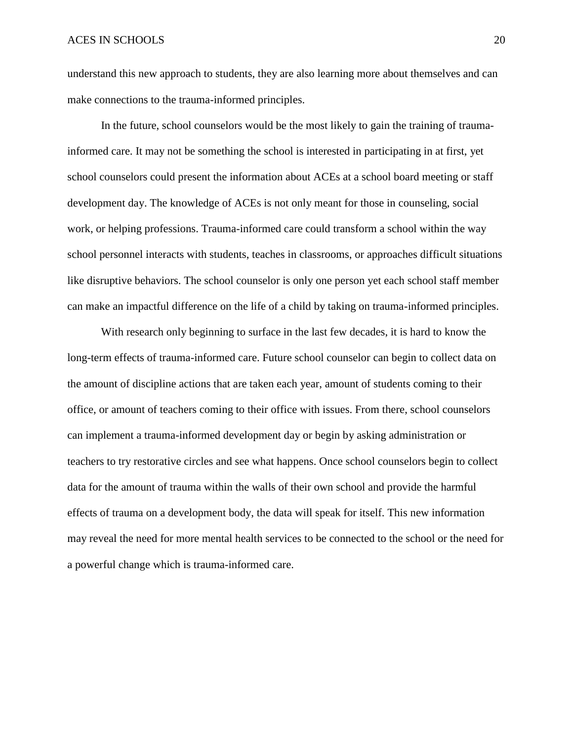understand this new approach to students, they are also learning more about themselves and can make connections to the trauma-informed principles.

In the future, school counselors would be the most likely to gain the training of traumainformed care. It may not be something the school is interested in participating in at first, yet school counselors could present the information about ACEs at a school board meeting or staff development day. The knowledge of ACEs is not only meant for those in counseling, social work, or helping professions. Trauma-informed care could transform a school within the way school personnel interacts with students, teaches in classrooms, or approaches difficult situations like disruptive behaviors. The school counselor is only one person yet each school staff member can make an impactful difference on the life of a child by taking on trauma-informed principles.

With research only beginning to surface in the last few decades, it is hard to know the long-term effects of trauma-informed care. Future school counselor can begin to collect data on the amount of discipline actions that are taken each year, amount of students coming to their office, or amount of teachers coming to their office with issues. From there, school counselors can implement a trauma-informed development day or begin by asking administration or teachers to try restorative circles and see what happens. Once school counselors begin to collect data for the amount of trauma within the walls of their own school and provide the harmful effects of trauma on a development body, the data will speak for itself. This new information may reveal the need for more mental health services to be connected to the school or the need for a powerful change which is trauma-informed care.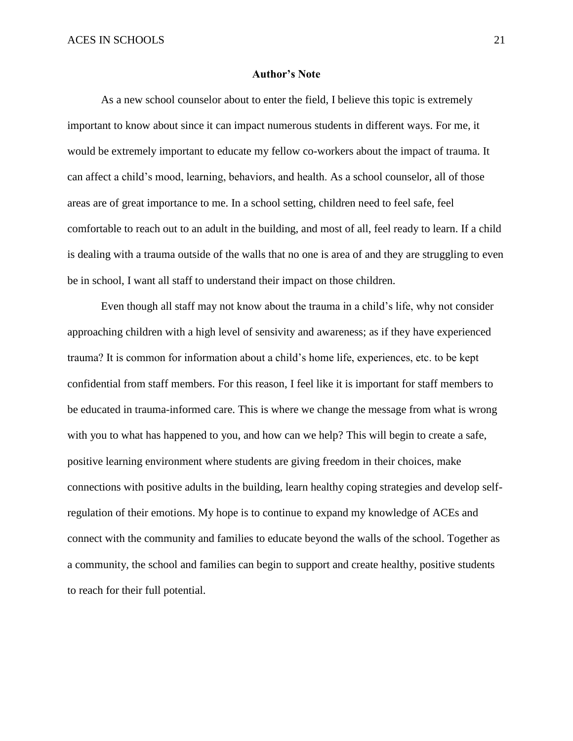#### **Author's Note**

As a new school counselor about to enter the field, I believe this topic is extremely important to know about since it can impact numerous students in different ways. For me, it would be extremely important to educate my fellow co-workers about the impact of trauma. It can affect a child's mood, learning, behaviors, and health. As a school counselor, all of those areas are of great importance to me. In a school setting, children need to feel safe, feel comfortable to reach out to an adult in the building, and most of all, feel ready to learn. If a child is dealing with a trauma outside of the walls that no one is area of and they are struggling to even be in school, I want all staff to understand their impact on those children.

Even though all staff may not know about the trauma in a child's life, why not consider approaching children with a high level of sensivity and awareness; as if they have experienced trauma? It is common for information about a child's home life, experiences, etc. to be kept confidential from staff members. For this reason, I feel like it is important for staff members to be educated in trauma-informed care. This is where we change the message from what is wrong with you to what has happened to you, and how can we help? This will begin to create a safe, positive learning environment where students are giving freedom in their choices, make connections with positive adults in the building, learn healthy coping strategies and develop selfregulation of their emotions. My hope is to continue to expand my knowledge of ACEs and connect with the community and families to educate beyond the walls of the school. Together as a community, the school and families can begin to support and create healthy, positive students to reach for their full potential.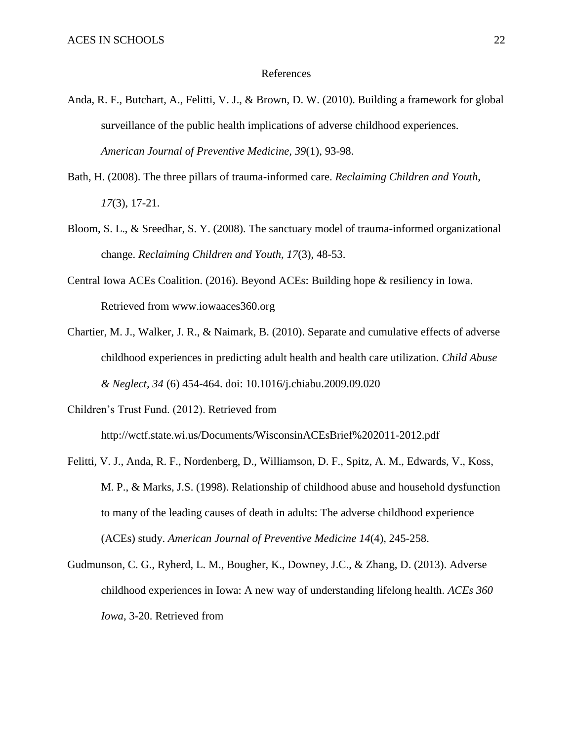#### References

- Anda, R. F., Butchart, A., Felitti, V. J., & Brown, D. W. (2010). Building a framework for global surveillance of the public health implications of adverse childhood experiences. *American Journal of Preventive Medicine, 39*(1), 93-98.
- Bath, H. (2008). The three pillars of trauma-informed care. *Reclaiming Children and Youth*, *17*(3), 17-21.
- Bloom, S. L., & Sreedhar, S. Y. (2008). The sanctuary model of trauma-informed organizational change. *Reclaiming Children and Youth*, *17*(3), 48-53.
- Central Iowa ACEs Coalition. (2016). Beyond ACEs: Building hope & resiliency in Iowa. Retrieved from www.iowaaces360.org
- Chartier, M. J., Walker, J. R., & Naimark, B. (2010). Separate and cumulative effects of adverse childhood experiences in predicting adult health and health care utilization. *Child Abuse & Neglect, 34* (6) 454-464. doi: 10.1016/j.chiabu.2009.09.020
- Children's Trust Fund. (2012). Retrieved from

http://wctf.state.wi.us/Documents/WisconsinACEsBrief%202011-2012.pdf

- Felitti, V. J., Anda, R. F., Nordenberg, D., Williamson, D. F., Spitz, A. M., Edwards, V., Koss, M. P., & Marks, J.S. (1998). Relationship of childhood abuse and household dysfunction to many of the leading causes of death in adults: The adverse childhood experience (ACEs) study. *American Journal of Preventive Medicine 14*(4), 245-258.
- Gudmunson, C. G., Ryherd, L. M., Bougher, K., Downey, J.C., & Zhang, D. (2013). Adverse childhood experiences in Iowa: A new way of understanding lifelong health. *ACEs 360 Iowa*, 3-20. Retrieved from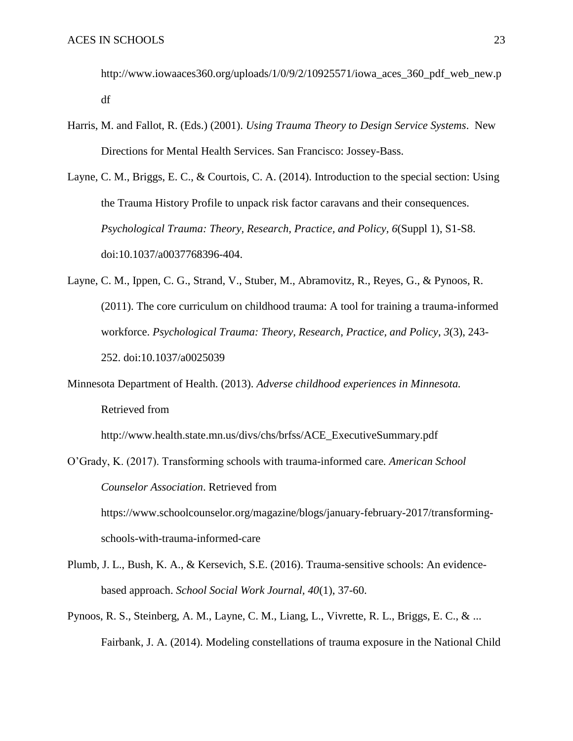http://www.iowaaces360.org/uploads/1/0/9/2/10925571/iowa\_aces\_360\_pdf\_web\_new.p df

- Harris, M. and Fallot, R. (Eds.) (2001). *Using Trauma Theory to Design Service Systems*. New Directions for Mental Health Services. San Francisco: Jossey-Bass.
- Layne, C. M., Briggs, E. C., & Courtois, C. A. (2014). Introduction to the special section: Using the Trauma History Profile to unpack risk factor caravans and their consequences. *Psychological Trauma: Theory, Research, Practice, and Policy, 6*(Suppl 1), S1-S8. doi:10.1037/a0037768396-404.
- Layne, C. M., Ippen, C. G., Strand, V., Stuber, M., Abramovitz, R., Reyes, G., & Pynoos, R. (2011). The core curriculum on childhood trauma: A tool for training a trauma-informed workforce. *Psychological Trauma: Theory, Research, Practice, and Policy*, *3*(3), 243- 252. doi:10.1037/a0025039
- Minnesota Department of Health. (2013). *Adverse childhood experiences in Minnesota.* Retrieved from

http://www.health.state.mn.us/divs/chs/brfss/ACE\_ExecutiveSummary.pdf

- O'Grady, K. (2017). Transforming schools with trauma-informed care*. American School Counselor Association*. Retrieved from https://www.schoolcounselor.org/magazine/blogs/january-february-2017/transformingschools-with-trauma-informed-care
- Plumb, J. L., Bush, K. A., & Kersevich, S.E. (2016). Trauma-sensitive schools: An evidencebased approach. *School Social Work Journal, 40*(1), 37-60.
- Pynoos, R. S., Steinberg, A. M., Layne, C. M., Liang, L., Vivrette, R. L., Briggs, E. C., & ... Fairbank, J. A. (2014). Modeling constellations of trauma exposure in the National Child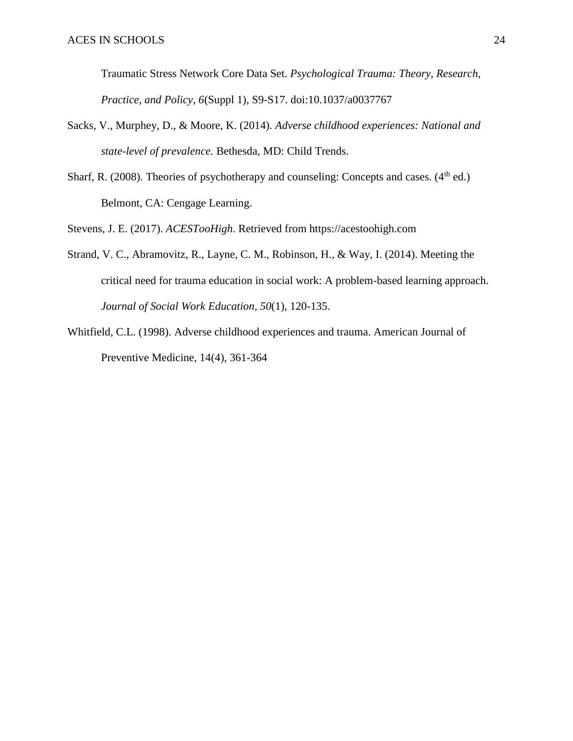Traumatic Stress Network Core Data Set. *Psychological Trauma: Theory, Research, Practice, and Policy*, *6*(Suppl 1), S9-S17. doi:10.1037/a0037767

- Sacks, V., Murphey, D., & Moore, K. (2014). *Adverse childhood experiences: National and state-level of prevalence.* Bethesda, MD: Child Trends.
- Sharf, R. (2008). Theories of psychotherapy and counseling: Concepts and cases.  $(4<sup>th</sup>$  ed.) Belmont, CA: Cengage Learning.

Stevens, J. E. (2017). *ACESTooHigh*. Retrieved from https://acestoohigh.com

- Strand, V. C., Abramovitz, R., Layne, C. M., Robinson, H., & Way, I. (2014). Meeting the critical need for trauma education in social work: A problem-based learning approach. *Journal of Social Work Education*, *50*(1), 120-135.
- Whitfield, C.L. (1998). Adverse childhood experiences and trauma. American Journal of Preventive Medicine, 14(4), 361-364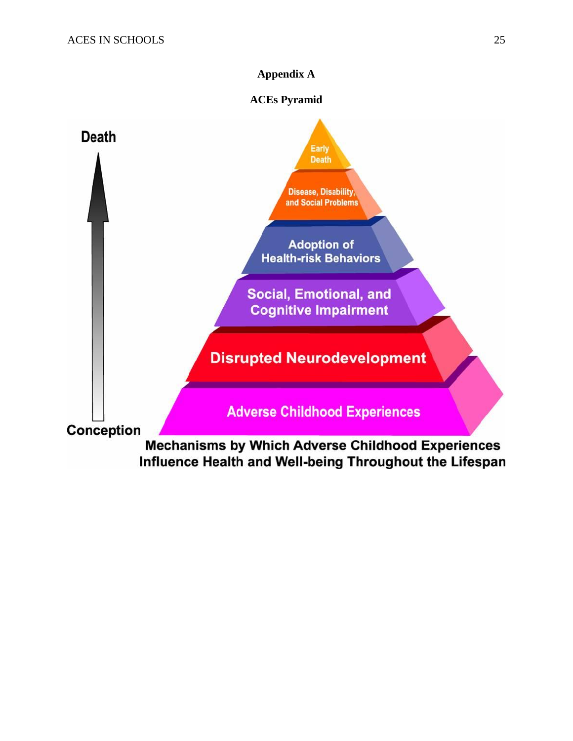# **Appendix A**

# **ACEs Pyramid**